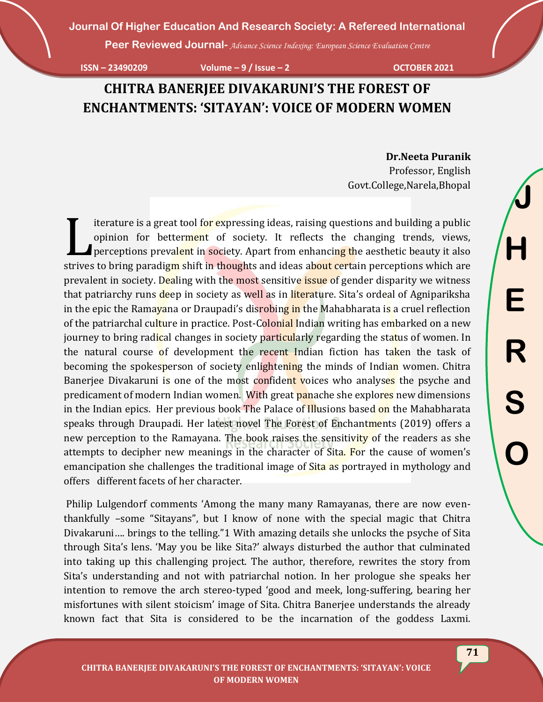**Peer Reviewed Journal-** *Advance Science Indexing: European Science Evaluation Centre*

**ISSN – 23490209 Volume – 9 / Issue – 2 OCTOBER 2021**

# **CHITRA BANERJEE DIVAKARUNI'S THE FOREST OF ENCHANTMENTS: 'SITAYAN': VOICE OF MODERN WOMEN**

 **Dr.Neeta Puranik** Professor, English Govt.College,Narela,Bhopal

iterature is a great tool for expressing ideas, raising questions and building a public opinion for betterment of society. It reflects the changing trends, views, perceptions prevalent in society. Apart from enhancing the aesthetic beauty it also Iterature is a great tool for expressing ideas, raising questions and building a public opinion for betterment of society. It reflects the changing trends, views, perceptions prevalent in society. Apart from enhancing the prevalent in society. Dealing with the most sensitive issue of gender disparity we witness that patriarchy runs deep in society as well as in literature. Sita's ordeal of Agnipariksha in the epic the Ramayana or Draupadi's disrobing in the Mahabharata is a cruel reflection of the patriarchal culture in practice. Post-Colonial Indian writing has embarked on a new journey to bring radical changes in society particularly regarding the status of women. In the natural course of development the recent Indian fiction has taken the task of becoming the spokesperson of society enlightening the minds of Indian women. Chitra Banerjee Divakaruni is one of the most confident voices who analyses the psyche and predicament of modern Indian women. With great panache she explores new dimensions in the Indian epics. Her previous book The Palace of Illusions based on the Mahabharata speaks through Draupadi. Her latest novel The Forest of Enchantments (2019) offers a new perception to the Ramayana. The book raises the sensitivity of the readers as she attempts to decipher new meanings in the character of Sita. For the cause of women's emancipation she challenges the traditional image of Sita as portrayed in mythology and offers different facets of her character.

Philip Lulgendorf comments 'Among the many many Ramayanas, there are now eventhankfully –some "Sitayans", but I know of none with the special magic that Chitra Divakaruni…. brings to the telling."1 With amazing details she unlocks the psyche of Sita through Sita's lens. 'May you be like Sita?' always disturbed the author that culminated into taking up this challenging project. The author, therefore, rewrites the story from Sita's understanding and not with patriarchal notion. In her prologue she speaks her intention to remove the arch stereo-typed 'good and meek, long-suffering, bearing her misfortunes with silent stoicism' image of Sita. Chitra Banerjee understands the already known fact that Sita is considered to be the incarnation of the goddess Laxmi.

**71**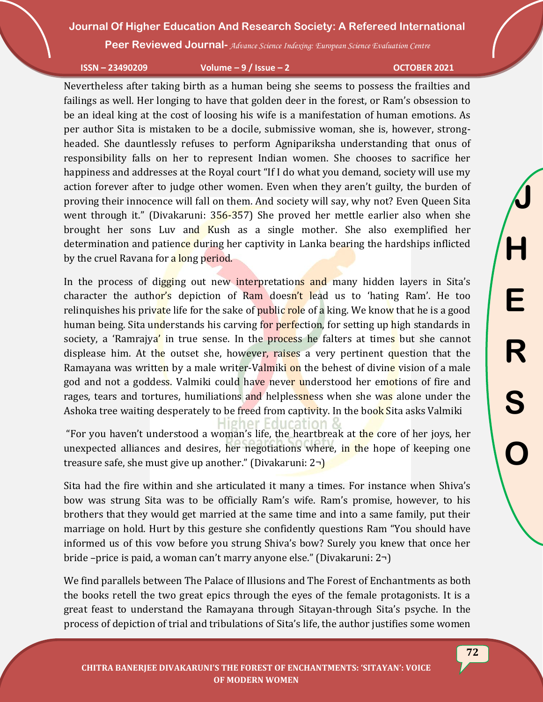**Peer Reviewed Journal-** *Advance Science Indexing: European Science Evaluation Centre*

#### **ISSN – 23490209 Volume – 9 / Issue – 2 OCTOBER 2021**

**J**

**H**

**E**

**R**

**S**

**O**

Nevertheless after taking birth as a human being she seems to possess the frailties and failings as well. Her longing to have that golden deer in the forest, or Ram's obsession to be an ideal king at the cost of loosing his wife is a manifestation of human emotions. As per author Sita is mistaken to be a docile, submissive woman, she is, however, strongheaded. She dauntlessly refuses to perform Agnipariksha understanding that onus of responsibility falls on her to represent Indian women. She chooses to sacrifice her happiness and addresses at the Royal court "If I do what you demand, society will use my action forever after to judge other women. Even when they aren't guilty, the burden of proving their innocence will fall on them. And society will say, why not? Even Queen Sita went through it." (Divakaruni: 356-357) She proved her mettle earlier also when she brought her sons Luv and Kush as a single mother. She also exemplified her determination and patience during her captivity in Lanka bearing the hardships inflicted by the cruel Ravana for a long period.

In the process of digging out new interpretations and many hidden layers in Sita's character the author's depiction of Ram doesn't lead us to 'hating Ram'. He too relinguishes his private life for the sake of public role of a king. We know that he is a good human being. Sita understands his carving for perfection, for setting up high standards in society, a 'Ramrajya' in true sense. In the **process** he falters at times but she cannot displease him. At the outset she, however, raises a very pertinent question that the Ramayana was written by a male writer-Valmiki on the behest of divine vision of a male god and not a goddess. Valmiki could have never understood her emotions of fire and rages, tears and tortures, humiliations and helplessness when she was alone under the Ashoka tree waiting desperately to be freed from captivity. In the book Sita asks Valmiki

gher Education "For you haven't understood a woman's life, the heartbreak at the core of her joys, her unexpected alliances and desires, her negotiations where, in the hope of keeping one treasure safe, she must give up another." (Divakaruni: 2¬)

Sita had the fire within and she articulated it many a times. For instance when Shiva's bow was strung Sita was to be officially Ram's wife. Ram's promise, however, to his brothers that they would get married at the same time and into a same family, put their marriage on hold. Hurt by this gesture she confidently questions Ram "You should have informed us of this vow before you strung Shiva's bow? Surely you knew that once her bride –price is paid, a woman can't marry anyone else." (Divakaruni: 2¬)

We find parallels between The Palace of Illusions and The Forest of Enchantments as both the books retell the two great epics through the eyes of the female protagonists. It is a great feast to understand the Ramayana through Sitayan-through Sita's psyche. In the process of depiction of trial and tribulations of Sita's life, the author justifies some women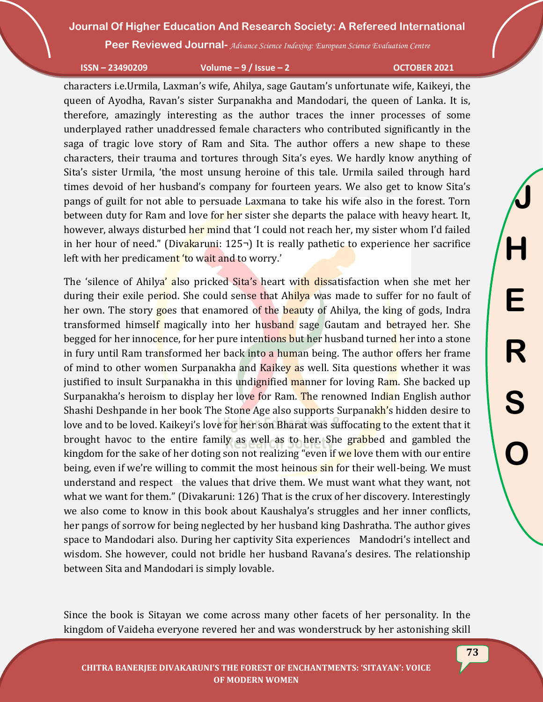**Peer Reviewed Journal-** *Advance Science Indexing: European Science Evaluation Centre*

**ISSN – 23490209 Volume – 9 / Issue – 2 OCTOBER 2021**

characters i.e.Urmila, Laxman's wife, Ahilya, sage Gautam's unfortunate wife, Kaikeyi, the queen of Ayodha, Ravan's sister Surpanakha and Mandodari, the queen of Lanka. It is, therefore, amazingly interesting as the author traces the inner processes of some underplayed rather unaddressed female characters who contributed significantly in the saga of tragic love story of Ram and Sita. The author offers a new shape to these characters, their trauma and tortures through Sita's eyes. We hardly know anything of Sita's sister Urmila, 'the most unsung heroine of this tale. Urmila sailed through hard times devoid of her husband's company for fourteen years. We also get to know Sita's pangs of guilt for not able to persuade Laxmana to take his wife also in the forest. Torn between duty for Ram and love for her sister she departs the palace with heavy heart. It, however, always disturbed her mind that 'I could not reach her, my sister whom I'd failed in her hour of need." (Divakaruni: 125¬) It is really pathetic to experience her sacrifice left with her predicament 'to wait and to worry.'

The 'silence of Ahilya' also pricked Sita's heart with dissatisfaction when she met her during their exile period. She could sense that Ahilya was made to suffer for no fault of her own. The story goes that enamored of the beauty of Ahilya, the king of gods, Indra transformed himself magically into her husband sage Gautam and betrayed her. She begged for her innocence, for her pure intentions but her husband turned her into a stone in fury until Ram transformed her back into a human being. The author offers her frame of mind to other women Surpanakha and Kaikey as well. Sita questions whether it was justified to insult Surpanakha in this undignified manner for loving Ram. She backed up Surpanakha's heroism to display her love for Ram. The renowned Indian English author Shashi Deshpande in her book The Stone Age also supports Surpanakh's hidden desire to love and to be loved. Kaikeyi's love for her son Bharat was suffocating to the extent that it brought havoc to the entire family as well as to her. She grabbed and gambled the kingdom for the sake of her doting son not realizing "even if we love them with our entire being, even if we're willing to commit the most heinous sin for their well-being. We must understand and respect the values that drive them. We must want what they want, not what we want for them." (Divakaruni: 126) That is the crux of her discovery. Interestingly we also come to know in this book about Kaushalya's struggles and her inner conflicts, her pangs of sorrow for being neglected by her husband king Dashratha. The author gives space to Mandodari also. During her captivity Sita experiences Mandodri's intellect and wisdom. She however, could not bridle her husband Ravana's desires. The relationship between Sita and Mandodari is simply lovable.

Since the book is Sitayan we come across many other facets of her personality. In the kingdom of Vaideha everyone revered her and was wonderstruck by her astonishing skill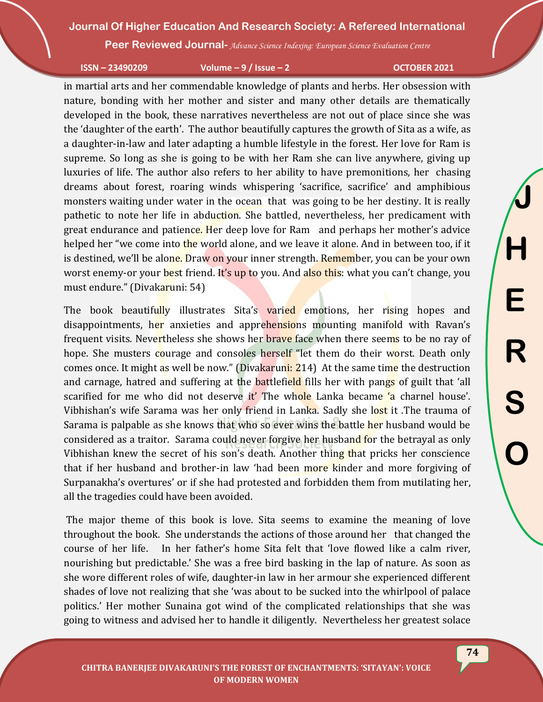**Peer Reviewed Journal-** *Advance Science Indexing: European Science Evaluation Centre*

**ISSN – 23490209 Volume – 9 / Issue – 2 OCTOBER 2021**

**J**

**H**

**E**

**R**

**S**

**O**

in martial arts and her commendable knowledge of plants and herbs. Her obsession with nature, bonding with her mother and sister and many other details are thematically developed in the book, these narratives nevertheless are not out of place since she was the 'daughter of the earth'. The author beautifully captures the growth of Sita as a wife, as a daughter-in-law and later adapting a humble lifestyle in the forest. Her love for Ram is supreme. So long as she is going to be with her Ram she can live anywhere, giving up luxuries of life. The author also refers to her ability to have premonitions, her chasing dreams about forest, roaring winds whispering 'sacrifice, sacrifice' and amphibious monsters waiting under water in the ocean that was going to be her destiny. It is really pathetic to note her life in abduction. She battled, nevertheless, her predicament with great endurance and patience. Her deep love for Ram and perhaps her mother's advice helped her "we come into the world alone, and we leave it alone. And in between too, if it is destined, we'll be alone. Draw on your inner strength. Remember, you can be your own worst enemy-or your best friend. It's up to you. And also this: what you can't change, you must endure." (Divakaruni: 54)

The book beautifully illustrates Sita's varied emotions, her rising hopes and disappointments, her anxieties and apprehensions mounting manifold with Ravan's frequent visits. Nevertheless she shows her brave face when there seems to be no ray of hope. She musters courage and consoles herself "let them do their worst. Death only comes once. It might as well be now." (Divakaruni: 214) At the same time the destruction and carnage, hatred and suffering at the **battlefield** fills her with pangs of guilt that 'all scarified for me who did not deserve it' The whole Lanka became 'a charnel house'. Vibhishan's wife Sarama was her only friend in Lanka. Sadly she lost it .The trauma of Sarama is palpable as she knows that who so ever wins the battle her husband would be considered as a traitor. Sarama could never forgive her husband for the betrayal as only Vibhishan knew the secret of his son's death. Another thing that pricks her conscience that if her husband and brother-in law 'had been more kinder and more forgiving of Surpanakha's overtures' or if she had protested and forbidden them from mutilating her, all the tragedies could have been avoided.

The major theme of this book is love. Sita seems to examine the meaning of love throughout the book. She understands the actions of those around her that changed the course of her life. In her father's home Sita felt that 'love flowed like a calm river, nourishing but predictable.' She was a free bird basking in the lap of nature. As soon as she wore different roles of wife, daughter-in law in her armour she experienced different shades of love not realizing that she 'was about to be sucked into the whirlpool of palace politics.' Her mother Sunaina got wind of the complicated relationships that she was going to witness and advised her to handle it diligently. Nevertheless her greatest solace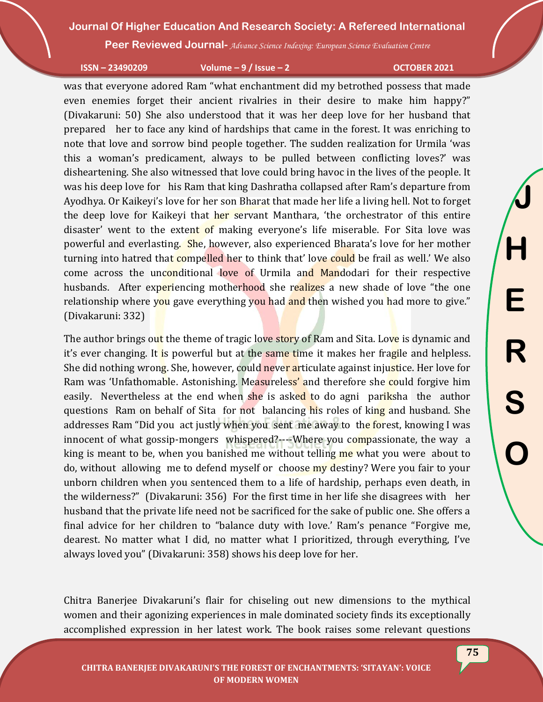**Peer Reviewed Journal-** *Advance Science Indexing: European Science Evaluation Centre*

**ISSN – 23490209 Volume – 9 / Issue – 2 OCTOBER 2021**

**J**

**H**

**E**

**R**

**S**

**O**

was that everyone adored Ram "what enchantment did my betrothed possess that made even enemies forget their ancient rivalries in their desire to make him happy?" (Divakaruni: 50) She also understood that it was her deep love for her husband that prepared her to face any kind of hardships that came in the forest. It was enriching to note that love and sorrow bind people together. The sudden realization for Urmila 'was this a woman's predicament, always to be pulled between conflicting loves?' was disheartening. She also witnessed that love could bring havoc in the lives of the people. It was his deep love for his Ram that king Dashratha collapsed after Ram's departure from Ayodhya. Or Kaikeyi's love for her son Bharat that made her life a living hell. Not to forget the deep love for Kaikeyi that her servant Manthara, 'the orchestrator of this entire disaster' went to the extent of making everyone's life miserable. For Sita love was powerful and everlasting. She, however, also experienced Bharata's love for her mother turning into hatred that compelled her to think that' love could be frail as well.' We also come across the unconditional love of Urmila and Mandodari for their respective husbands. After experiencing motherhood she realizes a new shade of love "the one relationship where you gave everything you had and then wished you had more to give." (Divakaruni: 332)

The author brings out the theme of tragic love story of Ram and Sita. Love is dynamic and it's ever changing. It is powerful but at the same time it makes her fragile and helpless. She did nothing wrong. She, however, could never articulate against injustice. Her love for Ram was 'Unfathomable. Astonishing. Measureless' and therefore she could forgive him easily. Nevertheless at the end when she is asked to do agni pariksha the author questions Ram on behalf of Sita for not balancing his roles of king and husband. She addresses Ram "Did you act justly when you sent me away to the forest, knowing I was innocent of what gossip-mongers whispered?---Where you compassionate, the way a king is meant to be, when you banished me without telling me what you were about to do, without allowing me to defend myself or choose my destiny? Were you fair to your unborn children when you sentenced them to a life of hardship, perhaps even death, in the wilderness?" (Divakaruni: 356) For the first time in her life she disagrees with her husband that the private life need not be sacrificed for the sake of public one. She offers a final advice for her children to "balance duty with love.' Ram's penance "Forgive me, dearest. No matter what I did, no matter what I prioritized, through everything, I've always loved you" (Divakaruni: 358) shows his deep love for her.

Chitra Banerjee Divakaruni's flair for chiseling out new dimensions to the mythical women and their agonizing experiences in male dominated society finds its exceptionally accomplished expression in her latest work. The book raises some relevant questions